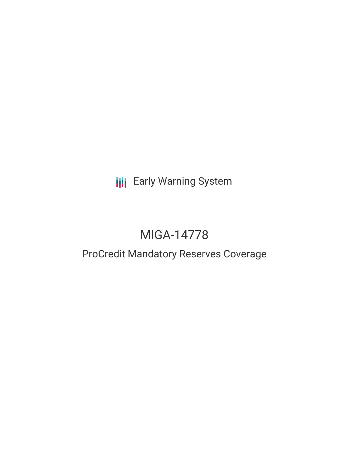**III** Early Warning System

# MIGA-14778

# ProCredit Mandatory Reserves Coverage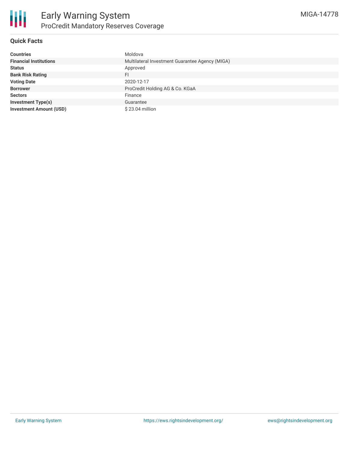

## **Quick Facts**

| <b>Countries</b>               | Moldova                                         |
|--------------------------------|-------------------------------------------------|
| <b>Financial Institutions</b>  | Multilateral Investment Guarantee Agency (MIGA) |
| <b>Status</b>                  | Approved                                        |
| <b>Bank Risk Rating</b>        | FI                                              |
| <b>Voting Date</b>             | 2020-12-17                                      |
| <b>Borrower</b>                | ProCredit Holding AG & Co. KGaA                 |
| <b>Sectors</b>                 | Finance                                         |
| <b>Investment Type(s)</b>      | Guarantee                                       |
| <b>Investment Amount (USD)</b> | $$23.04$ million                                |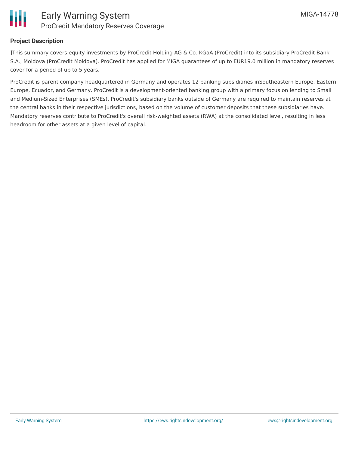

#### **Project Description**

]This summary covers equity investments by ProCredit Holding AG & Co. KGaA (ProCredit) into its subsidiary ProCredit Bank S.A., Moldova (ProCredit Moldova). ProCredit has applied for MIGA guarantees of up to EUR19.0 million in mandatory reserves cover for a period of up to 5 years.

ProCredit is parent company headquartered in Germany and operates 12 banking subsidiaries inSoutheastern Europe, Eastern Europe, Ecuador, and Germany. ProCredit is a development-oriented banking group with a primary focus on lending to Small and Medium-Sized Enterprises (SMEs). ProCredit's subsidiary banks outside of Germany are required to maintain reserves at the central banks in their respective jurisdictions, based on the volume of customer deposits that these subsidiaries have. Mandatory reserves contribute to ProCredit's overall risk-weighted assets (RWA) at the consolidated level, resulting in less headroom for other assets at a given level of capital.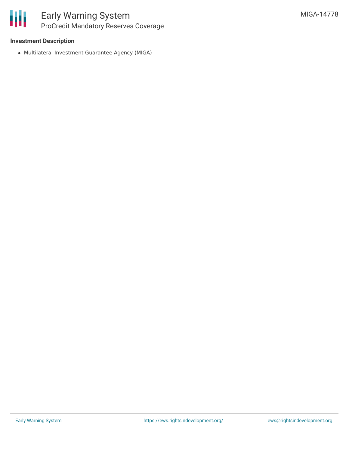#### **Investment Description**

Multilateral Investment Guarantee Agency (MIGA)